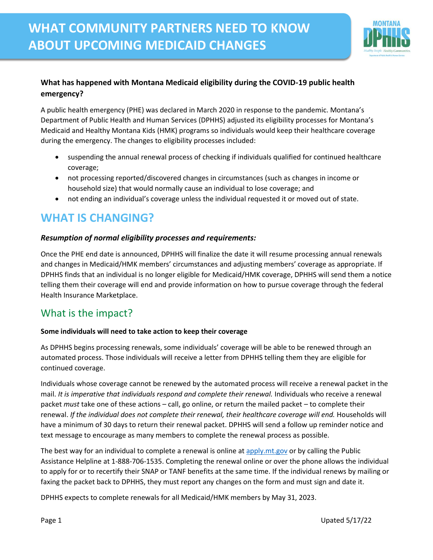

#### **What has happened with Montana Medicaid eligibility during the COVID-19 public health emergency?**

A public health emergency (PHE) was declared in March 2020 in response to the pandemic. Montana's Department of Public Health and Human Services (DPHHS) adjusted its eligibility processes for Montana's Medicaid and Healthy Montana Kids (HMK) programs so individuals would keep their healthcare coverage during the emergency. The changes to eligibility processes included:

- suspending the annual renewal process of checking if individuals qualified for continued healthcare coverage;
- not processing reported/discovered changes in circumstances (such as changes in income or household size) that would normally cause an individual to lose coverage; and
- not ending an individual's coverage unless the individual requested it or moved out of state.

# **WHAT IS CHANGING?**

#### *Resumption of normal eligibility processes and requirements:*

Once the PHE end date is announced, DPHHS will finalize the date it will resume processing annual renewals and changes in Medicaid/HMK members' circumstances and adjusting members' coverage as appropriate. If DPHHS finds that an individual is no longer eligible for Medicaid/HMK coverage, DPHHS will send them a notice telling them their coverage will end and provide information on how to pursue coverage through the federal Health Insurance Marketplace.

### What is the impact?

#### **Some individuals will need to take action to keep their coverage**

As DPHHS begins processing renewals, some individuals' coverage will be able to be renewed through an automated process. Those individuals will receive a letter from DPHHS telling them they are eligible for continued coverage.

Individuals whose coverage cannot be renewed by the automated process will receive a renewal packet in the mail. *It is imperative that individuals respond and complete their renewal.* Individuals who receive a renewal packet *must* take one of these actions – call, go online, or return the mailed packet – to complete their renewal. *If the individual does not complete their renewal, their healthcare coverage will end.* Households will have a minimum of 30 days to return their renewal packet. DPHHS will send a follow up reminder notice and text message to encourage as many members to complete the renewal process as possible.

The best way for an individual to complete a renewal is online at [apply.mt.gov](https://apply.mt.gov/) or by calling the Public Assistance Helpline at 1-888-706-1535. Completing the renewal online or over the phone allows the individual to apply for or to recertify their SNAP or TANF benefits at the same time. If the individual renews by mailing or faxing the packet back to DPHHS, they must report any changes on the form and must sign and date it.

DPHHS expects to complete renewals for all Medicaid/HMK members by May 31, 2023.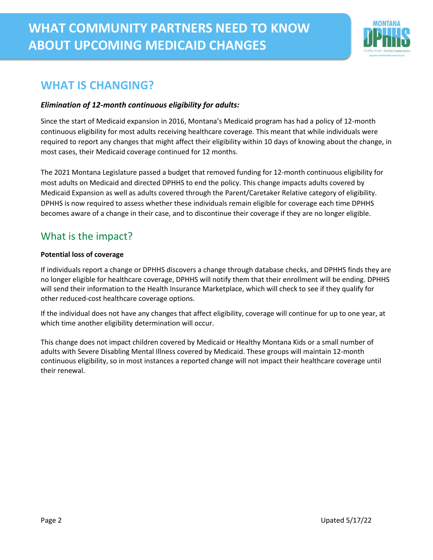

# **WHAT IS CHANGING?**

#### *Elimination of 12-month continuous eligibility for adults:*

Since the start of Medicaid expansion in 2016, Montana's Medicaid program has had a policy of 12-month continuous eligibility for most adults receiving healthcare coverage. This meant that while individuals were required to report any changes that might affect their eligibility within 10 days of knowing about the change, in most cases, their Medicaid coverage continued for 12 months.

The 2021 Montana Legislature passed a budget that removed funding for 12-month continuous eligibility for most adults on Medicaid and directed DPHHS to end the policy. This change impacts adults covered by Medicaid Expansion as well as adults covered through the Parent/Caretaker Relative category of eligibility. DPHHS is now required to assess whether these individuals remain eligible for coverage each time DPHHS becomes aware of a change in their case, and to discontinue their coverage if they are no longer eligible.

## What is the impact?

#### **Potential loss of coverage**

If individuals report a change or DPHHS discovers a change through database checks, and DPHHS finds they are no longer eligible for healthcare coverage, DPHHS will notify them that their enrollment will be ending. DPHHS will send their information to the Health Insurance Marketplace, which will check to see if they qualify for other reduced-cost healthcare coverage options.

If the individual does not have any changes that affect eligibility, coverage will continue for up to one year, at which time another eligibility determination will occur.

This change does not impact children covered by Medicaid or Healthy Montana Kids or a small number of adults with Severe Disabling Mental Illness covered by Medicaid. These groups will maintain 12-month continuous eligibility, so in most instances a reported change will not impact their healthcare coverage until their renewal.